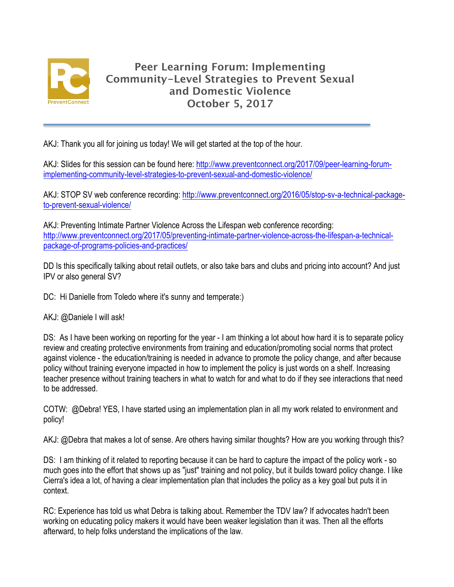

AKJ: Thank you all for joining us today! We will get started at the top of the hour.

AKJ: Slides for this session can be found here: http://www.preventconnect.org/2017/09/peer-learning-forumimplementing-community-level-strategies-to-prevent-sexual-and-domestic-violence/

AKJ: STOP SV web conference recording: http://www.preventconnect.org/2016/05/stop-sv-a-technical-packageto-prevent-sexual-violence/

AKJ: Preventing Intimate Partner Violence Across the Lifespan web conference recording: http://www.preventconnect.org/2017/05/preventing-intimate-partner-violence-across-the-lifespan-a-technicalpackage-of-programs-policies-and-practices/

DD Is this specifically talking about retail outlets, or also take bars and clubs and pricing into account? And just IPV or also general SV?

DC: Hi Danielle from Toledo where it's sunny and temperate:)

AKJ: @Daniele I will ask!

DS: As I have been working on reporting for the year - I am thinking a lot about how hard it is to separate policy review and creating protective environments from training and education/promoting social norms that protect against violence - the education/training is needed in advance to promote the policy change, and after because policy without training everyone impacted in how to implement the policy is just words on a shelf. Increasing teacher presence without training teachers in what to watch for and what to do if they see interactions that need to be addressed.

COTW: @Debra! YES, I have started using an implementation plan in all my work related to environment and policy!

AKJ: @Debra that makes a lot of sense. Are others having similar thoughts? How are you working through this?

DS: I am thinking of it related to reporting because it can be hard to capture the impact of the policy work - so much goes into the effort that shows up as "just" training and not policy, but it builds toward policy change. I like Cierra's idea a lot, of having a clear implementation plan that includes the policy as a key goal but puts it in context.

RC: Experience has told us what Debra is talking about. Remember the TDV law? If advocates hadn't been working on educating policy makers it would have been weaker legislation than it was. Then all the efforts afterward, to help folks understand the implications of the law.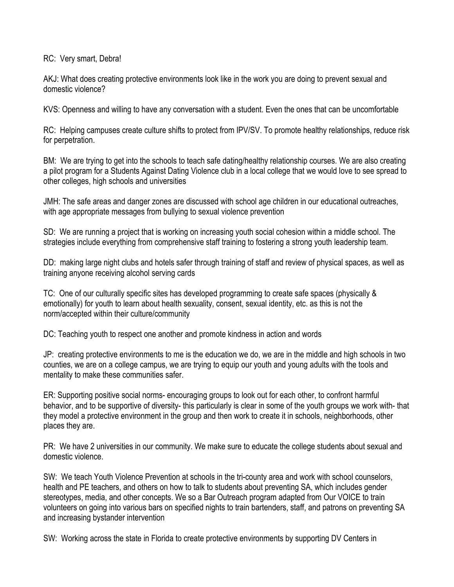RC: Very smart, Debra!

AKJ: What does creating protective environments look like in the work you are doing to prevent sexual and domestic violence?

KVS: Openness and willing to have any conversation with a student. Even the ones that can be uncomfortable

RC: Helping campuses create culture shifts to protect from IPV/SV. To promote healthy relationships, reduce risk for perpetration.

BM: We are trying to get into the schools to teach safe dating/healthy relationship courses. We are also creating a pilot program for a Students Against Dating Violence club in a local college that we would love to see spread to other colleges, high schools and universities

JMH: The safe areas and danger zones are discussed with school age children in our educational outreaches, with age appropriate messages from bullying to sexual violence prevention

SD: We are running a project that is working on increasing youth social cohesion within a middle school. The strategies include everything from comprehensive staff training to fostering a strong youth leadership team.

DD: making large night clubs and hotels safer through training of staff and review of physical spaces, as well as training anyone receiving alcohol serving cards

TC: One of our culturally specific sites has developed programming to create safe spaces (physically & emotionally) for youth to learn about health sexuality, consent, sexual identity, etc. as this is not the norm/accepted within their culture/community

DC: Teaching youth to respect one another and promote kindness in action and words

JP: creating protective environments to me is the education we do, we are in the middle and high schools in two counties, we are on a college campus, we are trying to equip our youth and young adults with the tools and mentality to make these communities safer.

ER: Supporting positive social norms- encouraging groups to look out for each other, to confront harmful behavior, and to be supportive of diversity- this particularly is clear in some of the youth groups we work with- that they model a protective environment in the group and then work to create it in schools, neighborhoods, other places they are.

PR: We have 2 universities in our community. We make sure to educate the college students about sexual and domestic violence.

SW: We teach Youth Violence Prevention at schools in the tri-county area and work with school counselors, health and PE teachers, and others on how to talk to students about preventing SA, which includes gender stereotypes, media, and other concepts. We so a Bar Outreach program adapted from Our VOICE to train volunteers on going into various bars on specified nights to train bartenders, staff, and patrons on preventing SA and increasing bystander intervention

SW: Working across the state in Florida to create protective environments by supporting DV Centers in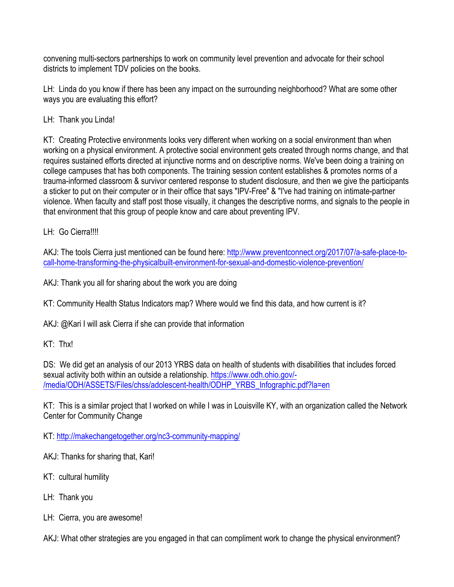convening multi-sectors partnerships to work on community level prevention and advocate for their school districts to implement TDV policies on the books.

LH: Linda do you know if there has been any impact on the surrounding neighborhood? What are some other ways you are evaluating this effort?

LH: Thank you Linda!

KT: Creating Protective environments looks very different when working on a social environment than when working on a physical environment. A protective social environment gets created through norms change, and that requires sustained efforts directed at injunctive norms and on descriptive norms. We've been doing a training on college campuses that has both components. The training session content establishes & promotes norms of a trauma-informed classroom & survivor centered response to student disclosure, and then we give the participants a sticker to put on their computer or in their office that says "IPV-Free" & "I've had training on intimate-partner violence. When faculty and staff post those visually, it changes the descriptive norms, and signals to the people in that environment that this group of people know and care about preventing IPV.

LH: Go Cierra!!!!

AKJ: The tools Cierra just mentioned can be found here: http://www.preventconnect.org/2017/07/a-safe-place-tocall-home-transforming-the-physicalbuilt-environment-for-sexual-and-domestic-violence-prevention/

AKJ: Thank you all for sharing about the work you are doing

KT: Community Health Status Indicators map? Where would we find this data, and how current is it?

AKJ: @Kari I will ask Cierra if she can provide that information

KT: Thx!

DS: We did get an analysis of our 2013 YRBS data on health of students with disabilities that includes forced sexual activity both within an outside a relationship. https://www.odh.ohio.gov/-/media/ODH/ASSETS/Files/chss/adolescent-health/ODHP\_YRBS\_Infographic.pdf?la=en

KT: This is a similar project that I worked on while I was in Louisville KY, with an organization called the Network Center for Community Change

KT: http://makechangetogether.org/nc3-community-mapping/

AKJ: Thanks for sharing that, Kari!

- KT: cultural humility
- LH: Thank you
- LH: Cierra, you are awesome!

AKJ: What other strategies are you engaged in that can compliment work to change the physical environment?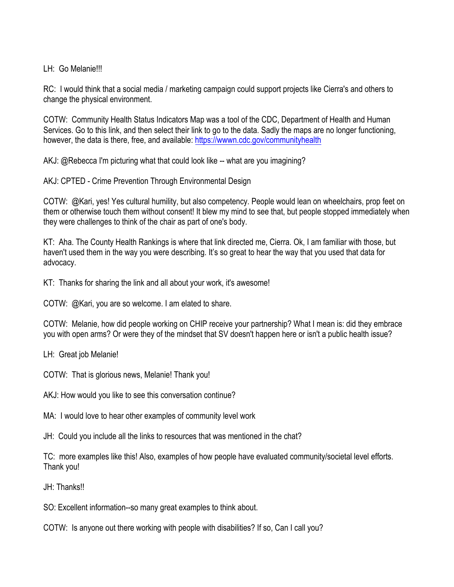## LH: Go Melanie!!!

RC: I would think that a social media / marketing campaign could support projects like Cierra's and others to change the physical environment.

COTW: Community Health Status Indicators Map was a tool of the CDC, Department of Health and Human Services. Go to this link, and then select their link to go to the data. Sadly the maps are no longer functioning, however, the data is there, free, and available: https://wwwn.cdc.gov/communityhealth

AKJ: @Rebecca I'm picturing what that could look like -- what are you imagining?

AKJ: CPTED - Crime Prevention Through Environmental Design

COTW: @Kari, yes! Yes cultural humility, but also competency. People would lean on wheelchairs, prop feet on them or otherwise touch them without consent! It blew my mind to see that, but people stopped immediately when they were challenges to think of the chair as part of one's body.

KT: Aha. The County Health Rankings is where that link directed me, Cierra. Ok, I am familiar with those, but haven't used them in the way you were describing. It's so great to hear the way that you used that data for advocacy.

KT: Thanks for sharing the link and all about your work, it's awesome!

COTW: @Kari, you are so welcome. I am elated to share.

COTW: Melanie, how did people working on CHIP receive your partnership? What I mean is: did they embrace you with open arms? Or were they of the mindset that SV doesn't happen here or isn't a public health issue?

LH: Great job Melanie!

COTW: That is glorious news, Melanie! Thank you!

AKJ: How would you like to see this conversation continue?

MA: I would love to hear other examples of community level work

JH: Could you include all the links to resources that was mentioned in the chat?

TC: more examples like this! Also, examples of how people have evaluated community/societal level efforts. Thank you!

JH: Thanks!!

SO: Excellent information--so many great examples to think about.

COTW: Is anyone out there working with people with disabilities? If so, Can I call you?